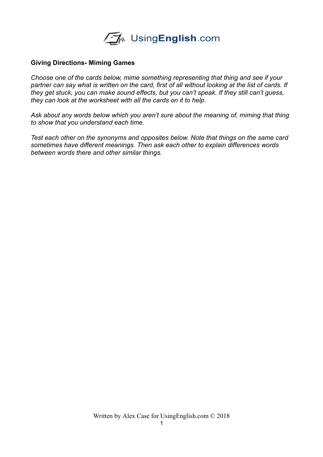

### **Giving Directions- Miming Games**

*Choose one of the cards below, mime something representing that thing and see if your partner can say what is written on the card, first of all without looking at the list of cards. If they get stuck, you can make sound effects, but you can't speak. If they still can't guess, they can look at the worksheet with all the cards on it to help.* 

*Ask about any words below which you aren't sure about the meaning of, miming that thing to show that you understand each time.*

*Test each other on the synonyms and opposites below. Note that things on the same card sometimes have different meanings. Then ask each other to explain differences words between words there and other similar things.*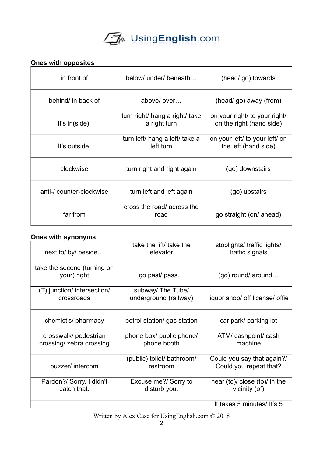

# **Ones with opposites**

| in front of              | below/ under/ beneath                          | (head/go) towards                                         |
|--------------------------|------------------------------------------------|-----------------------------------------------------------|
| behind/ in back of       | above/over                                     | (head/ go) away (from)                                    |
| It's $in(side)$ .        | turn right/ hang a right/ take<br>a right turn | on your right/ to your right/<br>on the right (hand side) |
| It's outside.            | turn left/ hang a left/ take a<br>left turn    | on your left/ to your left/ on<br>the left (hand side)    |
| clockwise                | turn right and right again                     | (go) downstairs                                           |
| anti-/ counter-clockwise | turn left and left again                       | (go) upstairs                                             |
| far from                 | cross the road/across the<br>road              | go straight (on/ ahead)                                   |

# **Ones with synonyms**

| next to/ by/ beside                               | take the lift/ take the<br>elevator        | stoplights/ traffic lights/<br>traffic signals       |
|---------------------------------------------------|--------------------------------------------|------------------------------------------------------|
| take the second (turning on<br>your) right        | go past/ pass                              | $(qo)$ round/ around                                 |
| (T) junction/ intersection/<br>crossroads         | subway/ The Tube/<br>underground (railway) | liquor shop/ off license/ offie                      |
| chemist's/ pharmacy                               | petrol station/ gas station                | car park/ parking lot                                |
| crosswalk/ pedestrian<br>crossing/ zebra crossing | phone box/ public phone/<br>phone booth    | ATM/ cashpoint/ cash<br>machine                      |
| buzzer/ intercom                                  | (public) toilet/ bathroom/<br>restroom     | Could you say that again?/<br>Could you repeat that? |
| Pardon?/ Sorry, I didn't<br>catch that.           | Excuse me?/ Sorry to<br>disturb you.       | near (to)/ close (to)/ in the<br>vicinity (of)       |
|                                                   |                                            | It takes 5 minutes/ It's 5                           |

Written by Alex Case for UsingEnglish.com © 2018